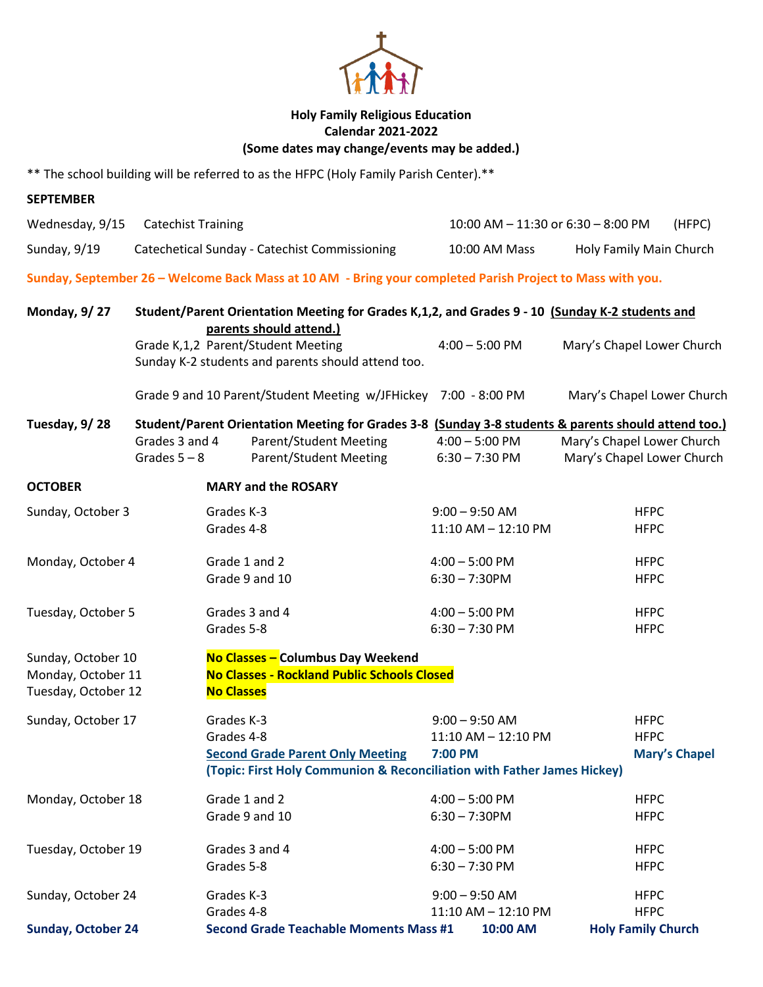

## **Holy Family Religious Education Calendar 2021-2022 (Some dates may change/events may be added.)**

\*\* The school building will be referred to as the HFPC (Holy Family Parish Center).\*\*

| <b>SEPTEMBER</b>          |                           |                   |                                                                                                                     |                                    |                            |
|---------------------------|---------------------------|-------------------|---------------------------------------------------------------------------------------------------------------------|------------------------------------|----------------------------|
| Wednesday, 9/15           | <b>Catechist Training</b> |                   |                                                                                                                     | 10:00 AM - 11:30 or 6:30 - 8:00 PM | (HFPC)                     |
| Sunday, 9/19              |                           |                   | Catechetical Sunday - Catechist Commissioning                                                                       | 10:00 AM Mass                      | Holy Family Main Church    |
|                           |                           |                   | Sunday, September 26 - Welcome Back Mass at 10 AM - Bring your completed Parish Project to Mass with you.           |                                    |                            |
| <b>Monday, 9/27</b>       |                           |                   | Student/Parent Orientation Meeting for Grades K,1,2, and Grades 9 - 10 (Sunday K-2 students and                     |                                    |                            |
|                           |                           |                   | parents should attend.)<br>Grade K,1,2 Parent/Student Meeting<br>Sunday K-2 students and parents should attend too. | $4:00 - 5:00$ PM                   | Mary's Chapel Lower Church |
|                           |                           |                   | Grade 9 and 10 Parent/Student Meeting w/JFHickey 7:00 - 8:00 PM                                                     |                                    | Mary's Chapel Lower Church |
| Tuesday, 9/28             |                           |                   | Student/Parent Orientation Meeting for Grades 3-8 (Sunday 3-8 students & parents should attend too.)                |                                    |                            |
|                           | Grades 3 and 4            |                   | <b>Parent/Student Meeting</b>                                                                                       | $4:00 - 5:00$ PM                   | Mary's Chapel Lower Church |
|                           | Grades $5 - 8$            |                   | <b>Parent/Student Meeting</b>                                                                                       | $6:30 - 7:30$ PM                   | Mary's Chapel Lower Church |
| <b>OCTOBER</b>            |                           |                   | <b>MARY and the ROSARY</b>                                                                                          |                                    |                            |
| Sunday, October 3         |                           | Grades K-3        |                                                                                                                     | $9:00 - 9:50$ AM                   | <b>HFPC</b>                |
|                           |                           | Grades 4-8        |                                                                                                                     | 11:10 AM - 12:10 PM                | <b>HFPC</b>                |
| Monday, October 4         |                           | Grade 1 and 2     |                                                                                                                     | $4:00 - 5:00$ PM                   | <b>HFPC</b>                |
|                           |                           | Grade 9 and 10    |                                                                                                                     | $6:30 - 7:30$ PM                   | <b>HFPC</b>                |
| Tuesday, October 5        |                           | Grades 3 and 4    |                                                                                                                     | $4:00 - 5:00$ PM                   | <b>HFPC</b>                |
|                           |                           | Grades 5-8        |                                                                                                                     | $6:30 - 7:30$ PM                   | <b>HFPC</b>                |
| Sunday, October 10        |                           |                   | No Classes - Columbus Day Weekend                                                                                   |                                    |                            |
| Monday, October 11        |                           |                   | <b>No Classes - Rockland Public Schools Closed</b>                                                                  |                                    |                            |
| Tuesday, October 12       |                           | <b>No Classes</b> |                                                                                                                     |                                    |                            |
| Sunday, October 17        |                           | Grades K-3        |                                                                                                                     | $9:00 - 9:50$ AM                   | <b>HFPC</b>                |
|                           |                           | Grades 4-8        |                                                                                                                     | 11:10 AM - 12:10 PM                | <b>HFPC</b>                |
|                           |                           |                   | <b>Second Grade Parent Only Meeting</b>                                                                             | 7:00 PM                            | <b>Mary's Chapel</b>       |
|                           |                           |                   | (Topic: First Holy Communion & Reconciliation with Father James Hickey)                                             |                                    |                            |
| Monday, October 18        |                           | Grade 1 and 2     |                                                                                                                     | $4:00 - 5:00$ PM                   | <b>HFPC</b>                |
|                           |                           | Grade 9 and 10    |                                                                                                                     | $6:30 - 7:30$ PM                   | <b>HFPC</b>                |
| Tuesday, October 19       |                           | Grades 3 and 4    |                                                                                                                     | $4:00 - 5:00$ PM                   | <b>HFPC</b>                |
|                           |                           | Grades 5-8        |                                                                                                                     | $6:30 - 7:30$ PM                   | <b>HFPC</b>                |
| Sunday, October 24        |                           | Grades K-3        |                                                                                                                     | $9:00 - 9:50$ AM                   | <b>HFPC</b>                |
|                           |                           | Grades 4-8        |                                                                                                                     | 11:10 AM - 12:10 PM                | <b>HFPC</b>                |
| <b>Sunday, October 24</b> |                           |                   | <b>Second Grade Teachable Moments Mass #1</b>                                                                       | 10:00 AM                           | <b>Holy Family Church</b>  |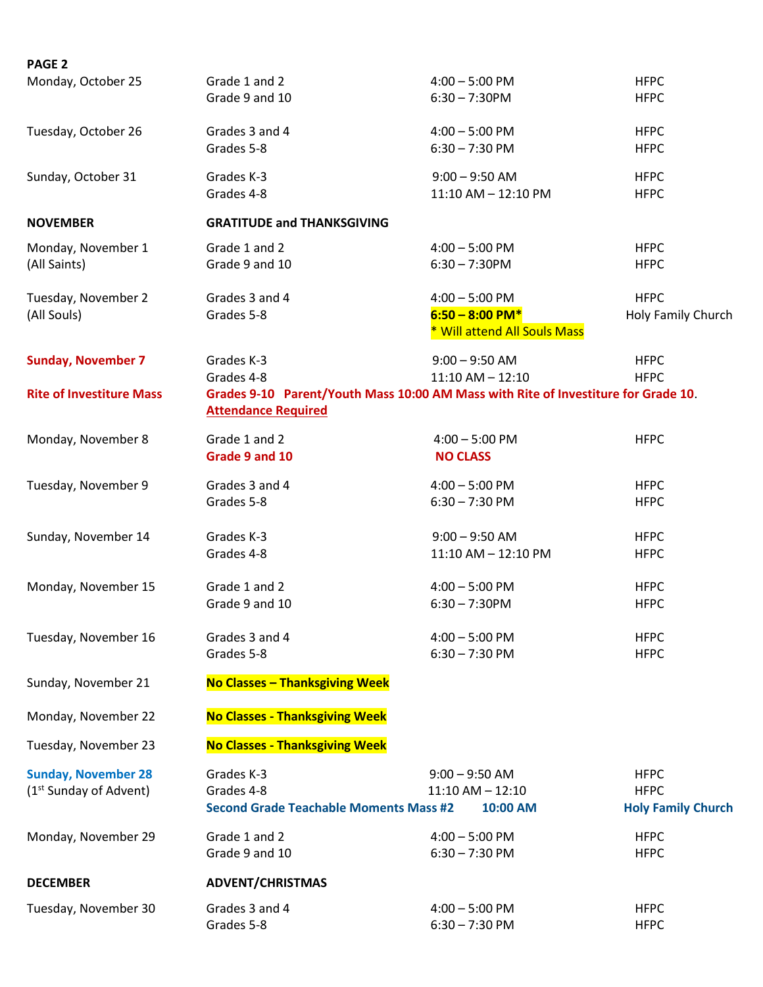| PAGE <sub>2</sub>                  |                                               |                                                                                    |                           |
|------------------------------------|-----------------------------------------------|------------------------------------------------------------------------------------|---------------------------|
| Monday, October 25                 | Grade 1 and 2                                 | $4:00 - 5:00$ PM                                                                   | <b>HFPC</b>               |
|                                    | Grade 9 and 10                                | $6:30 - 7:30$ PM                                                                   | <b>HFPC</b>               |
| Tuesday, October 26                | Grades 3 and 4                                | $4:00 - 5:00$ PM                                                                   | <b>HFPC</b>               |
|                                    | Grades 5-8                                    | $6:30 - 7:30$ PM                                                                   | <b>HFPC</b>               |
| Sunday, October 31                 | Grades K-3                                    | $9:00 - 9:50$ AM                                                                   | <b>HFPC</b>               |
|                                    | Grades 4-8                                    | 11:10 AM - 12:10 PM                                                                | <b>HFPC</b>               |
| <b>NOVEMBER</b>                    | <b>GRATITUDE and THANKSGIVING</b>             |                                                                                    |                           |
| Monday, November 1                 | Grade 1 and 2                                 | $4:00 - 5:00$ PM                                                                   | <b>HFPC</b>               |
| (All Saints)                       | Grade 9 and 10                                | $6:30 - 7:30$ PM                                                                   | <b>HFPC</b>               |
| Tuesday, November 2                | Grades 3 and 4                                | $4:00 - 5:00$ PM                                                                   | <b>HFPC</b>               |
| (All Souls)                        | Grades 5-8                                    | $6:50 - 8:00 P M*$                                                                 | Holy Family Church        |
|                                    |                                               | * Will attend All Souls Mass                                                       |                           |
| <b>Sunday, November 7</b>          | Grades K-3                                    | $9:00 - 9:50$ AM                                                                   | <b>HFPC</b>               |
|                                    | Grades 4-8                                    | $11:10$ AM $- 12:10$                                                               | <b>HFPC</b>               |
| <b>Rite of Investiture Mass</b>    |                                               | Grades 9-10 Parent/Youth Mass 10:00 AM Mass with Rite of Investiture for Grade 10. |                           |
|                                    | <b>Attendance Required</b>                    |                                                                                    |                           |
| Monday, November 8                 | Grade 1 and 2                                 | $4:00 - 5:00$ PM                                                                   | <b>HFPC</b>               |
|                                    | Grade 9 and 10                                | <b>NO CLASS</b>                                                                    |                           |
| Tuesday, November 9                | Grades 3 and 4                                | $4:00 - 5:00$ PM                                                                   | <b>HFPC</b>               |
|                                    | Grades 5-8                                    | $6:30 - 7:30$ PM                                                                   | <b>HFPC</b>               |
| Sunday, November 14                | Grades K-3                                    | $9:00 - 9:50$ AM                                                                   | <b>HFPC</b>               |
|                                    | Grades 4-8                                    | 11:10 AM - 12:10 PM                                                                | <b>HFPC</b>               |
| Monday, November 15                | Grade 1 and 2                                 | $4:00 - 5:00$ PM                                                                   | <b>HFPC</b>               |
|                                    | Grade 9 and 10                                | $6:30 - 7:30$ PM                                                                   | <b>HFPC</b>               |
| Tuesday, November 16               | Grades 3 and 4                                | $4:00 - 5:00$ PM                                                                   | <b>HFPC</b>               |
|                                    | Grades 5-8                                    | $6:30 - 7:30$ PM                                                                   | <b>HFPC</b>               |
| Sunday, November 21                | <b>No Classes - Thanksgiving Week</b>         |                                                                                    |                           |
| Monday, November 22                | <b>No Classes - Thanksgiving Week</b>         |                                                                                    |                           |
| Tuesday, November 23               | <b>No Classes - Thanksgiving Week</b>         |                                                                                    |                           |
| <b>Sunday, November 28</b>         | Grades K-3                                    | $9:00 - 9:50$ AM                                                                   | <b>HFPC</b>               |
| (1 <sup>st</sup> Sunday of Advent) | Grades 4-8                                    | $11:10$ AM $- 12:10$                                                               | <b>HFPC</b>               |
|                                    | <b>Second Grade Teachable Moments Mass #2</b> | 10:00 AM                                                                           | <b>Holy Family Church</b> |
| Monday, November 29                | Grade 1 and 2                                 | $4:00 - 5:00$ PM                                                                   | <b>HFPC</b>               |
|                                    | Grade 9 and 10                                | $6:30 - 7:30$ PM                                                                   | <b>HFPC</b>               |
| <b>DECEMBER</b>                    | <b>ADVENT/CHRISTMAS</b>                       |                                                                                    |                           |
| Tuesday, November 30               | Grades 3 and 4                                | $4:00 - 5:00$ PM                                                                   | <b>HFPC</b>               |
|                                    | Grades 5-8                                    | $6:30 - 7:30$ PM                                                                   | <b>HFPC</b>               |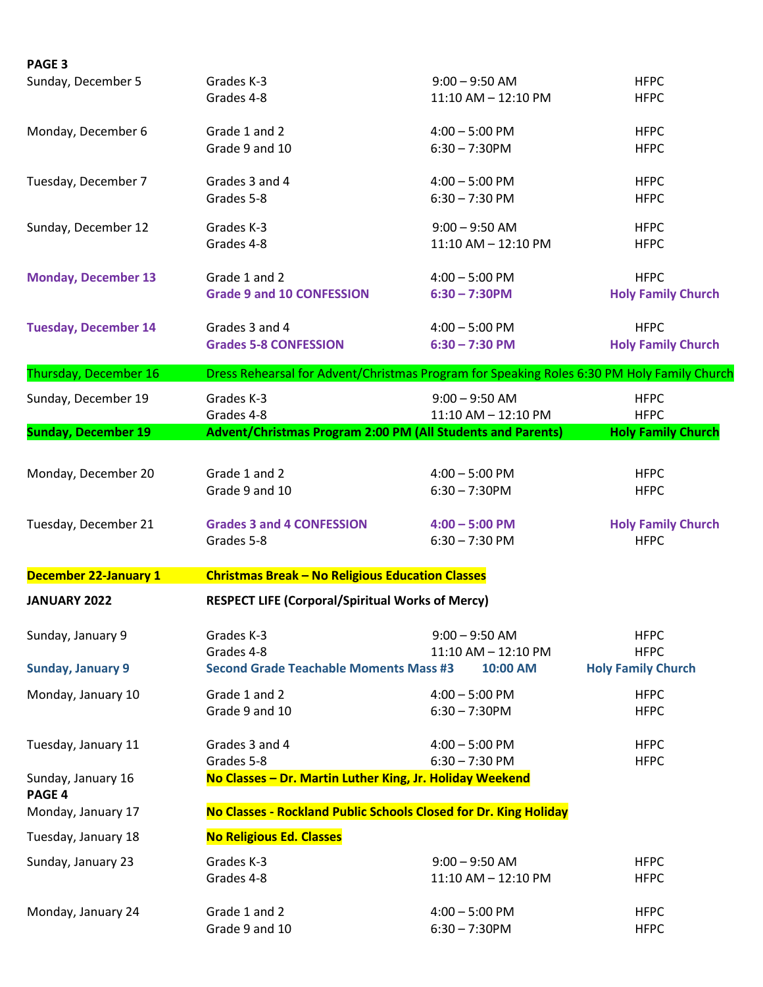| <b>PAGE 3</b>                |                                                                                            |                         |                           |
|------------------------------|--------------------------------------------------------------------------------------------|-------------------------|---------------------------|
| Sunday, December 5           | Grades K-3                                                                                 | $9:00 - 9:50$ AM        | <b>HFPC</b>               |
|                              | Grades 4-8                                                                                 | $11:10$ AM $- 12:10$ PM | <b>HFPC</b>               |
| Monday, December 6           | Grade 1 and 2                                                                              | $4:00 - 5:00$ PM        | <b>HFPC</b>               |
|                              | Grade 9 and 10                                                                             | $6:30 - 7:30$ PM        | <b>HFPC</b>               |
| Tuesday, December 7          | Grades 3 and 4                                                                             | $4:00 - 5:00$ PM        | <b>HFPC</b>               |
|                              | Grades 5-8                                                                                 | $6:30 - 7:30$ PM        | <b>HFPC</b>               |
| Sunday, December 12          | Grades K-3                                                                                 | $9:00 - 9:50$ AM        | <b>HFPC</b>               |
|                              | Grades 4-8                                                                                 | 11:10 AM - 12:10 PM     | <b>HFPC</b>               |
| <b>Monday, December 13</b>   | Grade 1 and 2                                                                              | $4:00 - 5:00$ PM        | <b>HFPC</b>               |
|                              | <b>Grade 9 and 10 CONFESSION</b>                                                           | $6:30 - 7:30$ PM        | <b>Holy Family Church</b> |
| <b>Tuesday, December 14</b>  | Grades 3 and 4                                                                             | $4:00 - 5:00$ PM        | <b>HFPC</b>               |
|                              | <b>Grades 5-8 CONFESSION</b>                                                               | $6:30 - 7:30 P M$       | <b>Holy Family Church</b> |
| Thursday, December 16        | Dress Rehearsal for Advent/Christmas Program for Speaking Roles 6:30 PM Holy Family Church |                         |                           |
| Sunday, December 19          | Grades K-3                                                                                 | $9:00 - 9:50$ AM        | <b>HFPC</b>               |
|                              | Grades 4-8                                                                                 | 11:10 AM - 12:10 PM     | <b>HFPC</b>               |
| <b>Sunday, December 19</b>   | <b>Advent/Christmas Program 2:00 PM (All Students and Parents)</b>                         |                         | <b>Holy Family Church</b> |
| Monday, December 20          | Grade 1 and 2                                                                              | $4:00 - 5:00$ PM        | <b>HFPC</b>               |
|                              | Grade 9 and 10                                                                             | $6:30 - 7:30$ PM        | <b>HFPC</b>               |
| Tuesday, December 21         | <b>Grades 3 and 4 CONFESSION</b>                                                           | $4:00 - 5:00$ PM        | <b>Holy Family Church</b> |
|                              | Grades 5-8                                                                                 | $6:30 - 7:30$ PM        | <b>HFPC</b>               |
| <b>December 22-January 1</b> | <b>Christmas Break - No Religious Education Classes</b>                                    |                         |                           |
| <b>JANUARY 2022</b>          | <b>RESPECT LIFE (Corporal/Spiritual Works of Mercy)</b>                                    |                         |                           |
| Sunday, January 9            | Grades K-3                                                                                 | $9:00 - 9:50$ AM        | <b>HFPC</b>               |
|                              | Grades 4-8                                                                                 | 11:10 AM - 12:10 PM     | <b>HFPC</b>               |
| <b>Sunday, January 9</b>     | <b>Second Grade Teachable Moments Mass #3</b>                                              | 10:00 AM                | <b>Holy Family Church</b> |
| Monday, January 10           | Grade 1 and 2                                                                              | $4:00 - 5:00$ PM        | <b>HFPC</b>               |
|                              | Grade 9 and 10                                                                             | $6:30 - 7:30$ PM        | <b>HFPC</b>               |
| Tuesday, January 11          | Grades 3 and 4                                                                             | $4:00 - 5:00$ PM        | <b>HFPC</b>               |
|                              | Grades 5-8                                                                                 | $6:30 - 7:30$ PM        | <b>HFPC</b>               |
| Sunday, January 16<br>PAGE 4 | No Classes - Dr. Martin Luther King, Jr. Holiday Weekend                                   |                         |                           |
| Monday, January 17           | No Classes - Rockland Public Schools Closed for Dr. King Holiday                           |                         |                           |
| Tuesday, January 18          | <b>No Religious Ed. Classes</b>                                                            |                         |                           |
| Sunday, January 23           | Grades K-3                                                                                 | $9:00 - 9:50$ AM        | <b>HFPC</b>               |
|                              | Grades 4-8                                                                                 | 11:10 AM - 12:10 PM     | <b>HFPC</b>               |
| Monday, January 24           | Grade 1 and 2                                                                              | $4:00 - 5:00$ PM        | <b>HFPC</b>               |
|                              | Grade 9 and 10                                                                             | $6:30 - 7:30$ PM        | <b>HFPC</b>               |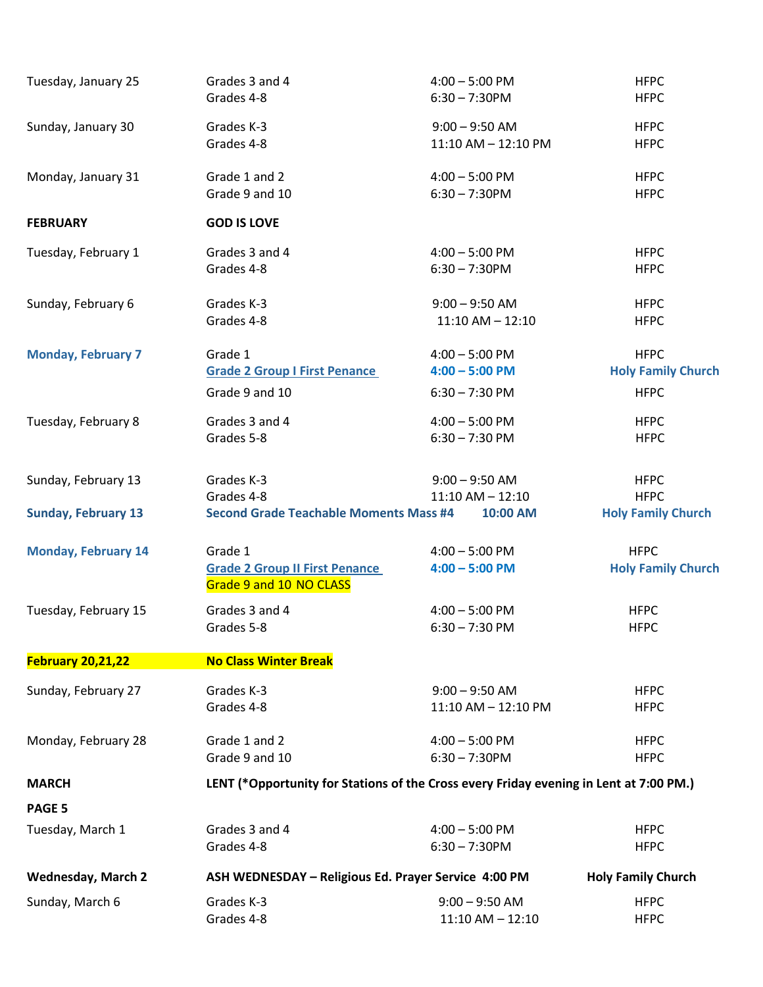| Tuesday, January 25        | Grades 3 and 4                                                                         | $4:00 - 5:00$ PM                     | <b>HFPC</b>                              |
|----------------------------|----------------------------------------------------------------------------------------|--------------------------------------|------------------------------------------|
|                            | Grades 4-8                                                                             | $6:30 - 7:30$ PM                     | <b>HFPC</b>                              |
| Sunday, January 30         | Grades K-3                                                                             | $9:00 - 9:50$ AM                     | <b>HFPC</b>                              |
|                            | Grades 4-8                                                                             | 11:10 AM - 12:10 PM                  | <b>HFPC</b>                              |
| Monday, January 31         | Grade 1 and 2                                                                          | $4:00 - 5:00$ PM                     | <b>HFPC</b>                              |
|                            | Grade 9 and 10                                                                         | $6:30 - 7:30$ PM                     | <b>HFPC</b>                              |
| <b>FEBRUARY</b>            | <b>GOD IS LOVE</b>                                                                     |                                      |                                          |
| Tuesday, February 1        | Grades 3 and 4                                                                         | $4:00 - 5:00$ PM                     | <b>HFPC</b>                              |
|                            | Grades 4-8                                                                             | $6:30 - 7:30$ PM                     | <b>HFPC</b>                              |
| Sunday, February 6         | Grades K-3                                                                             | $9:00 - 9:50$ AM                     | <b>HFPC</b>                              |
|                            | Grades 4-8                                                                             | $11:10$ AM $- 12:10$                 | <b>HFPC</b>                              |
| <b>Monday, February 7</b>  | Grade 1                                                                                | $4:00 - 5:00$ PM                     | <b>HFPC</b>                              |
|                            | <b>Grade 2 Group I First Penance</b>                                                   | $4:00 - 5:00$ PM                     | <b>Holy Family Church</b>                |
|                            | Grade 9 and 10                                                                         | $6:30 - 7:30$ PM                     | <b>HFPC</b>                              |
| Tuesday, February 8        | Grades 3 and 4                                                                         | $4:00 - 5:00$ PM                     | <b>HFPC</b>                              |
|                            | Grades 5-8                                                                             | $6:30 - 7:30$ PM                     | <b>HFPC</b>                              |
| Sunday, February 13        | Grades K-3                                                                             | $9:00 - 9:50$ AM                     | <b>HFPC</b>                              |
|                            | Grades 4-8                                                                             | $11:10$ AM $- 12:10$                 | <b>HFPC</b>                              |
| <b>Sunday, February 13</b> | <b>Second Grade Teachable Moments Mass #4</b>                                          | 10:00 AM                             | <b>Holy Family Church</b>                |
| <b>Monday, February 14</b> | Grade 1<br><b>Grade 2 Group II First Penance</b><br>Grade 9 and 10 NO CLASS            | $4:00 - 5:00$ PM<br>$4:00 - 5:00$ PM | <b>HFPC</b><br><b>Holy Family Church</b> |
| Tuesday, February 15       | Grades 3 and 4                                                                         | $4:00 - 5:00$ PM                     | <b>HFPC</b>                              |
|                            | Grades 5-8                                                                             | $6:30 - 7:30$ PM                     | <b>HFPC</b>                              |
| <b>February 20,21,22</b>   | <b>No Class Winter Break</b>                                                           |                                      |                                          |
| Sunday, February 27        | Grades K-3                                                                             | $9:00 - 9:50$ AM                     | <b>HFPC</b>                              |
|                            | Grades 4-8                                                                             | 11:10 AM - 12:10 PM                  | <b>HFPC</b>                              |
| Monday, February 28        | Grade 1 and 2                                                                          | $4:00 - 5:00$ PM                     | <b>HFPC</b>                              |
|                            | Grade 9 and 10                                                                         | $6:30 - 7:30$ PM                     | <b>HFPC</b>                              |
| <b>MARCH</b>               | LENT (*Opportunity for Stations of the Cross every Friday evening in Lent at 7:00 PM.) |                                      |                                          |
| PAGE 5                     |                                                                                        |                                      |                                          |
| Tuesday, March 1           | Grades 3 and 4                                                                         | $4:00 - 5:00$ PM                     | <b>HFPC</b>                              |
|                            | Grades 4-8                                                                             | $6:30 - 7:30$ PM                     | <b>HFPC</b>                              |
| <b>Wednesday, March 2</b>  | <b>Holy Family Church</b><br>ASH WEDNESDAY - Religious Ed. Prayer Service 4:00 PM      |                                      |                                          |
| Sunday, March 6            | Grades K-3                                                                             | $9:00 - 9:50$ AM                     | <b>HFPC</b>                              |
|                            | Grades 4-8                                                                             | $11:10$ AM $- 12:10$                 | <b>HFPC</b>                              |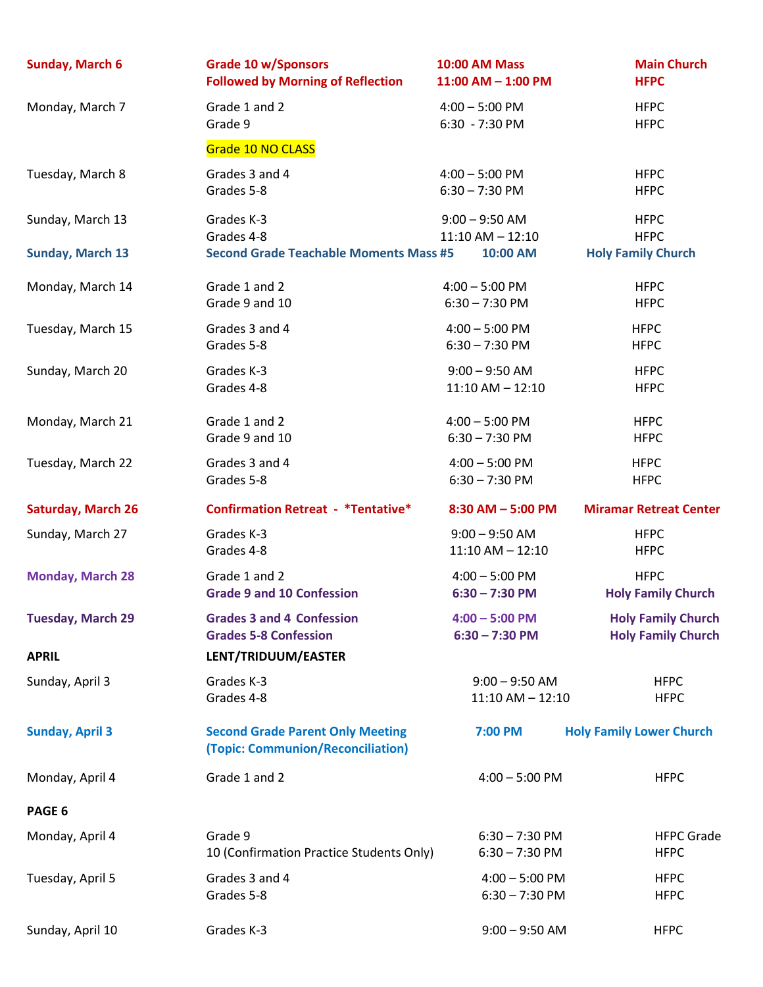| <b>Sunday, March 6</b>    | <b>Grade 10 w/Sponsors</b>                                                   | <b>10:00 AM Mass</b>   | <b>Main Church</b>              |
|---------------------------|------------------------------------------------------------------------------|------------------------|---------------------------------|
|                           | <b>Followed by Morning of Reflection</b>                                     | $11:00$ AM $- 1:00$ PM | <b>HFPC</b>                     |
| Monday, March 7           | Grade 1 and 2                                                                | $4:00 - 5:00$ PM       | <b>HFPC</b>                     |
|                           | Grade 9                                                                      | 6:30 - 7:30 PM         | <b>HFPC</b>                     |
|                           | Grade 10 NO CLASS                                                            |                        |                                 |
| Tuesday, March 8          | Grades 3 and 4                                                               | $4:00 - 5:00$ PM       | <b>HFPC</b>                     |
|                           | Grades 5-8                                                                   | $6:30 - 7:30$ PM       | <b>HFPC</b>                     |
| Sunday, March 13          | Grades K-3                                                                   | $9:00 - 9:50$ AM       | <b>HFPC</b>                     |
| <b>Sunday, March 13</b>   | Grades 4-8                                                                   | $11:10$ AM $- 12:10$   | <b>HFPC</b>                     |
|                           | <b>Second Grade Teachable Moments Mass #5</b>                                | 10:00 AM               | <b>Holy Family Church</b>       |
| Monday, March 14          | Grade 1 and 2                                                                | $4:00 - 5:00$ PM       | <b>HFPC</b>                     |
|                           | Grade 9 and 10                                                               | $6:30 - 7:30$ PM       | <b>HFPC</b>                     |
| Tuesday, March 15         | Grades 3 and 4                                                               | $4:00 - 5:00$ PM       | <b>HFPC</b>                     |
|                           | Grades 5-8                                                                   | $6:30 - 7:30$ PM       | <b>HFPC</b>                     |
| Sunday, March 20          | Grades K-3                                                                   | $9:00 - 9:50$ AM       | <b>HFPC</b>                     |
|                           | Grades 4-8                                                                   | $11:10$ AM $- 12:10$   | <b>HFPC</b>                     |
| Monday, March 21          | Grade 1 and 2                                                                | $4:00 - 5:00$ PM       | <b>HFPC</b>                     |
|                           | Grade 9 and 10                                                               | $6:30 - 7:30$ PM       | <b>HFPC</b>                     |
| Tuesday, March 22         | Grades 3 and 4                                                               | $4:00 - 5:00$ PM       | <b>HFPC</b>                     |
|                           | Grades 5-8                                                                   | $6:30 - 7:30$ PM       | <b>HFPC</b>                     |
|                           |                                                                              |                        |                                 |
| <b>Saturday, March 26</b> | <b>Confirmation Retreat - *Tentative*</b>                                    | $8:30$ AM $-$ 5:00 PM  | <b>Miramar Retreat Center</b>   |
| Sunday, March 27          | Grades K-3                                                                   | $9:00 - 9:50$ AM       | <b>HFPC</b>                     |
|                           | Grades 4-8                                                                   | $11:10$ AM $- 12:10$   | <b>HFPC</b>                     |
| <b>Monday, March 28</b>   | Grade 1 and 2                                                                | $4:00 - 5:00$ PM       | <b>HFPC</b>                     |
|                           | <b>Grade 9 and 10 Confession</b>                                             | $6:30 - 7:30$ PM       | <b>Holy Family Church</b>       |
| <b>Tuesday, March 29</b>  | <b>Grades 3 and 4 Confession</b>                                             | $4:00 - 5:00$ PM       | <b>Holy Family Church</b>       |
|                           | <b>Grades 5-8 Confession</b>                                                 | $6:30 - 7:30$ PM       | <b>Holy Family Church</b>       |
| <b>APRIL</b>              | LENT/TRIDUUM/EASTER                                                          |                        |                                 |
| Sunday, April 3           | Grades K-3                                                                   | $9:00 - 9:50$ AM       | <b>HFPC</b>                     |
|                           | Grades 4-8                                                                   | $11:10$ AM $- 12:10$   | <b>HFPC</b>                     |
| <b>Sunday, April 3</b>    | <b>Second Grade Parent Only Meeting</b><br>(Topic: Communion/Reconciliation) | 7:00 PM                | <b>Holy Family Lower Church</b> |
| Monday, April 4           | Grade 1 and 2                                                                | $4:00 - 5:00$ PM       | <b>HFPC</b>                     |
| PAGE 6                    |                                                                              |                        |                                 |
| Monday, April 4           | Grade 9                                                                      | $6:30 - 7:30$ PM       | <b>HFPC Grade</b>               |
|                           | 10 (Confirmation Practice Students Only)                                     | $6:30 - 7:30$ PM       | <b>HFPC</b>                     |
| Tuesday, April 5          | Grades 3 and 4                                                               | $4:00 - 5:00$ PM       | <b>HFPC</b>                     |
|                           | Grades 5-8                                                                   | $6:30 - 7:30$ PM       | <b>HFPC</b>                     |